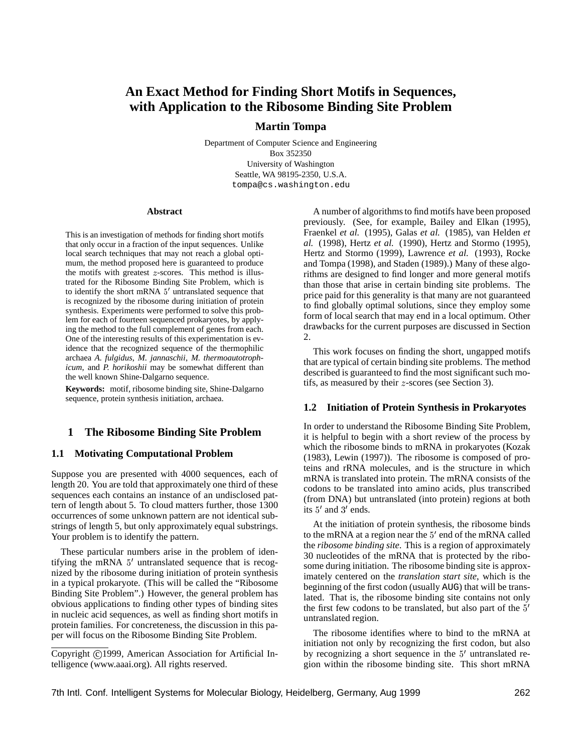# **An Exact Method for Finding Short Motifs in Sequences, with Application to the Ribosome Binding Site Problem**

# **Martin Tompa**

Department of Computer Science and Engineering Box 352350 University of Washington Seattle, WA 98195-2350, U.S.A. tompa@cs.washington.edu

#### **Abstract**

This is an investigation of methods for finding short motifs that only occur in a fraction of the input sequences. Unlike local search techniques that may not reach a global optimum, the method proposed here is guaranteed to produce the motifs with greatest  $z$ -scores. This method is illustrated for the Ribosome Binding Site Problem, which is to identify the short mRNA  $5'$  untranslated sequence that is recognized by the ribosome during initiation of protein synthesis. Experiments were performed to solve this problem for each of fourteen sequenced prokaryotes, by applying the method to the full complement of genes from each. One of the interesting results of this experimentation is evidence that the recognized sequence of the thermophilic archaea *A. fulgidus*, *M. jannaschii*, *M. thermoautotrophicum*, and *P. horikoshii* may be somewhat different than the well known Shine-Dalgarno sequence.

**Keywords:** motif, ribosome binding site, Shine-Dalgarno sequence, protein synthesis initiation, archaea.

#### **1 The Ribosome Binding Site Problem**

### **1.1 Motivating Computational Problem**

Suppose you are presented with 4000 sequences, each of length 20. You are told that approximately one third of these sequences each contains an instance of an undisclosed pattern of length about 5. To cloud matters further, those 1300 occurrences of some unknown pattern are not identical substrings of length 5, but only approximately equal substrings. Your problem is to identify the pattern.

These particular numbers arise in the problem of identifying the mRNA  $5'$  untranslated sequence that is recognized by the ribosome during initiation of protein synthesis in a typical prokaryote. (This will be called the "Ribosome Binding Site Problem".) However, the general problem has obvious applications to finding other types of binding sites in nucleic acid sequences, as well as finding short motifs in protein families. For concreteness, the discussion in this paper will focus on the Ribosome Binding Site Problem.

Copyright ©1999, American Association for Artificial Intelligence (www.aaai.org). All rights reserved.

A number of algorithms to find motifs have been proposed previously. (See, for example, Bailey and Elkan (1995), Fraenkel *et al.* (1995), Galas *et al.* (1985), van Helden *et al.* (1998), Hertz *et al.* (1990), Hertz and Stormo (1995), Hertz and Stormo (1999), Lawrence *et al.* (1993), Rocke and Tompa (1998), and Staden (1989).) Many of these algorithms are designed to find longer and more general motifs than those that arise in certain binding site problems. The price paid for this generality is that many are not guaranteed to find globally optimal solutions, since they employ some form of local search that may end in a local optimum. Other drawbacks for the current purposes are discussed in Section 2.

This work focuses on finding the short, ungapped motifs that are typical of certain binding site problems. The method described is guaranteed to find the most significant such motifs, as measured by their <sup>z</sup>-scores (see Section 3).

### **1.2 Initiation of Protein Synthesis in Prokaryotes**

In order to understand the Ribosome Binding Site Problem, it is helpful to begin with a short review of the process by which the ribosome binds to mRNA in prokaryotes (Kozak (1983), Lewin (1997)). The ribosome is composed of proteins and rRNA molecules, and is the structure in which mRNA is translated into protein. The mRNA consists of the codons to be translated into amino acids, plus transcribed (from DNA) but untranslated (into protein) regions at both its  $5'$  and  $3'$  ends.

At the initiation of protein synthesis, the ribosome binds to the mRNA at a region near the  $5'$  end of the mRNA called the *ribosome binding site*. This is a region of approximately 30 nucleotides of the mRNA that is protected by the ribosome during initiation. The ribosome binding site is approximately centered on the *translation start site*, which is the beginning of the first codon (usually AUG) that will be translated. That is, the ribosome binding site contains not only the first few codons to be translated, but also part of the  $5<sup>′</sup>$ untranslated region.

The ribosome identifies where to bind to the mRNA at initiation not only by recognizing the first codon, but also by recognizing a short sequence in the  $5'$  untranslated region within the ribosome binding site. This short mRNA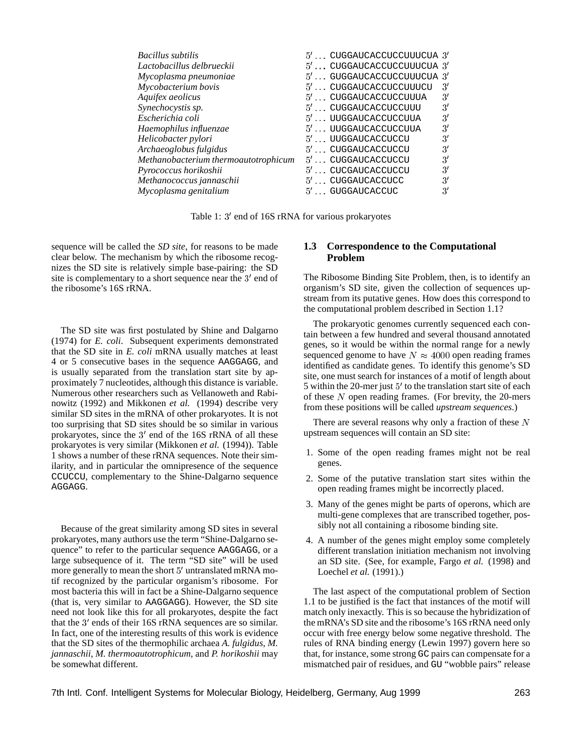| 5' CUGGAUCACCUCCUUUCU | $\mathcal{R}'$                                                                                     |
|-----------------------|----------------------------------------------------------------------------------------------------|
| 5' CUGGAUCACCUCCUUUA  | 3'                                                                                                 |
| 5' CUGGAUCACCUCCUUU   | 3'                                                                                                 |
| 5' UUGGAUCACCUCCUUA   | 3'                                                                                                 |
| 5' UUGGAUCACCUCCUUA   | 3'                                                                                                 |
| 5' UUGGAUCACCUCCU     | 3'                                                                                                 |
| 5'CUGGAUCACCUCCU      | 3'                                                                                                 |
| 5' CUGGAUCACCUCCU     | 3'                                                                                                 |
| 5'CUCGAUCACCUCCU      | 3'                                                                                                 |
| 5' CUGGAUCACCUCC      | 3'                                                                                                 |
| 5' GUGGAUCACCUC       | 3'                                                                                                 |
|                       | $5'$ CUGGAUCACCUCCUUUCUA $3'$<br>$5' \ldots$ CUGGAUCACCUCCUUUCUA $3'$<br>5' GUGGAUCACCUCCUUUCUA 3' |

Table 1: 3' end of 16S rRNA for various prokaryotes

sequence will be called the *SD site*, for reasons to be made clear below. The mechanism by which the ribosome recognizes the SD site is relatively simple base-pairing: the SD site is complementary to a short sequence near the  $3'$  end of the ribosome's 16S rRNA.

The SD site was first postulated by Shine and Dalgarno (1974) for *E. coli*. Subsequent experiments demonstrated that the SD site in *E. coli* mRNA usually matches at least 4 or 5 consecutive bases in the sequence AAGGAGG, and is usually separated from the translation start site by approximately 7 nucleotides, although this distance is variable. Numerous other researchers such as Vellanoweth and Rabinowitz (1992) and Mikkonen *et al.* (1994) describe very similar SD sites in the mRNA of other prokaryotes. It is not too surprising that SD sites should be so similar in various prokaryotes, since the  $3'$  end of the 16S rRNA of all these prokaryotes is very similar (Mikkonen *et al.* (1994)). Table 1 shows a number of these rRNA sequences. Note their similarity, and in particular the omnipresence of the sequence CCUCCU, complementary to the Shine-Dalgarno sequence AGGAGG.

Because of the great similarity among SD sites in several prokaryotes, many authors use the term "Shine-Dalgarno sequence" to refer to the particular sequence AAGGAGG, or a large subsequence of it. The term "SD site" will be used more generally to mean the short  $5'$  untranslated mRNA motif recognized by the particular organism's ribosome. For most bacteria this will in fact be a Shine-Dalgarno sequence (that is, very similar to AAGGAGG). However, the SD site need not look like this for all prokaryotes, despite the fact that the 3' ends of their 16S rRNA sequences are so similar. In fact, one of the interesting results of this work is evidence that the SD sites of the thermophilic archaea *A. fulgidus*, *M. jannaschii*, *M. thermoautotrophicum*, and *P. horikoshii* may be somewhat different.

#### **1.3 Correspondence to the Computational Problem**

The Ribosome Binding Site Problem, then, is to identify an organism's SD site, given the collection of sequences upstream from its putative genes. How does this correspond to the computational problem described in Section 1.1?

The prokaryotic genomes currently sequenced each contain between a few hundred and several thousand annotated genes, so it would be within the normal range for a newly sequenced genome to have  $N \approx 4000$  open reading frames identified as candidate genes. To identify this genome's SD site, one must search for instances of a motif of length about 5 within the 20-mer just 5' to the translation start site of each of these  $N$  open reading frames. (For brevity, the 20-mers from these positions will be called *upstream sequences*.)

There are several reasons why only a fraction of these  $N$ upstream sequences will contain an SD site:

- 1. Some of the open reading frames might not be real genes.
- 2. Some of the putative translation start sites within the open reading frames might be incorrectly placed.
- 3. Many of the genes might be parts of operons, which are multi-gene complexes that are transcribed together, possibly not all containing a ribosome binding site.
- 4. A number of the genes might employ some completely different translation initiation mechanism not involving an SD site. (See, for example, Fargo *et al.* (1998) and Loechel *et al.* (1991).)

The last aspect of the computational problem of Section 1.1 to be justified is the fact that instances of the motif will match only inexactly. This is so because the hybridization of the mRNA's SD site and the ribosome's 16S rRNA need only occur with free energy below some negative threshold. The rules of RNA binding energy (Lewin 1997) govern here so that, for instance, some strong GC pairs can compensate for a mismatched pair of residues, and GU "wobble pairs" release

7th Intl. Conf. Intelligent Systems for Molecular Biology, Heidelberg, Germany, Aug 1999 263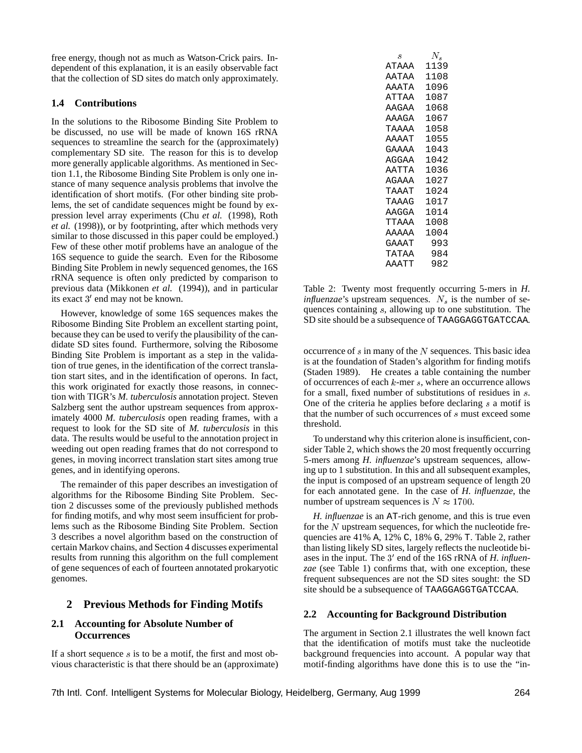free energy, though not as much as Watson-Crick pairs. Independent of this explanation, it is an easily observable fact that the collection of SD sites do match only approximately.

### **1.4 Contributions**

In the solutions to the Ribosome Binding Site Problem to be discussed, no use will be made of known 16S rRNA sequences to streamline the search for the (approximately) complementary SD site. The reason for this is to develop more generally applicable algorithms. As mentioned in Section 1.1, the Ribosome Binding Site Problem is only one instance of many sequence analysis problems that involve the identification of short motifs. (For other binding site problems, the set of candidate sequences might be found by expression level array experiments (Chu *et al.* (1998), Roth *et al.* (1998)), or by footprinting, after which methods very similar to those discussed in this paper could be employed.) Few of these other motif problems have an analogue of the 16S sequence to guide the search. Even for the Ribosome Binding Site Problem in newly sequenced genomes, the 16S rRNA sequence is often only predicted by comparison to previous data (Mikkonen *et al.* (1994)), and in particular its exact 3' end may not be known.

However, knowledge of some 16S sequences makes the Ribosome Binding Site Problem an excellent starting point, because they can be used to verify the plausibility of the candidate SD sites found. Furthermore, solving the Ribosome Binding Site Problem is important as a step in the validation of true genes, in the identification of the correct translation start sites, and in the identification of operons. In fact, this work originated for exactly those reasons, in connection with TIGR's *M. tuberculosis* annotation project. Steven Salzberg sent the author upstream sequences from approximately 4000 *M. tuberculosis* open reading frames, with a request to look for the SD site of *M. tuberculosis* in this data. The results would be useful to the annotation project in weeding out open reading frames that do not correspond to genes, in moving incorrect translation start sites among true genes, and in identifying operons.

The remainder of this paper describes an investigation of algorithms for the Ribosome Binding Site Problem. Section 2 discusses some of the previously published methods for finding motifs, and why most seem insufficient for problems such as the Ribosome Binding Site Problem. Section 3 describes a novel algorithm based on the construction of certain Markov chains, and Section 4 discusses experimental results from running this algorithm on the full complement of gene sequences of each of fourteen annotated prokaryotic genomes.

# **2 Previous Methods for Finding Motifs**

### **2.1 Accounting for Absolute Number of Occurrences**

If a short sequence  $s$  is to be a motif, the first and most obvious characteristic is that there should be an (approximate)

| S            | N.   |
|--------------|------|
| <b>ATAAA</b> | 1139 |
| AATAA        | 1108 |
| AAATA        | 1096 |
| ATTAA        | 1087 |
| AAGAA        | 1068 |
| AAAGA        | 1067 |
| ΤΆΆΑΑ        | 1058 |
| AAAAT        | 1055 |
| GAAAA        | 1043 |
| AGGAA        | 1042 |
| AATTA        | 1036 |
| AGAAA        | 1027 |
| TAAAT        | 1024 |
| TAAAG        | 1017 |
| AAGGA        | 1014 |
| TTAAA        | 1008 |
| AAAAA        | 1004 |
| GAAAT        | 993  |
| TATAA        | 984  |
| AAATT        | 982  |
|              |      |

Table 2: Twenty most frequently occurring 5-mers in *H. influenzae*'s upstream sequences.  $N<sub>s</sub>$  is the number of sequences containing <sup>s</sup>, allowing up to one substitution. The SD site should be a subsequence of TAAGGAGGTGATCCAA.

occurrence of  $s$  in many of the  $N$  sequences. This basic idea is at the foundation of Staden's algorithm for finding motifs (Staden 1989). He creates a table containing the number of occurrences of each <sup>k</sup>-mer <sup>s</sup>, where an occurrence allows for a small, fixed number of substitutions of residues in <sup>s</sup>. One of the criteria he applies before declaring  $s$  a motif is that the number of such occurrences of <sup>s</sup> must exceed some threshold.

To understand why this criterion alone is insufficient, consider Table 2, which shows the 20 most frequently occurring 5-mers among *H. influenzae*'s upstream sequences, allowing up to 1 substitution. In this and all subsequent examples, the input is composed of an upstream sequence of length 20 for each annotated gene. In the case of *H. influenzae*, the number of upstream sequences is  $N \approx 1700$ .

*H. influenzae* is an AT-rich genome, and this is true even for the  $N$  upstream sequences, for which the nucleotide frequencies are 41% A, 12% C, 18% G, 29% T. Table 2, rather than listing likely SD sites, largely reflects the nucleotide biases in the input. The 3' end of the 16S rRNA of *H. influenzae* (see Table 1) confirms that, with one exception, these frequent subsequences are not the SD sites sought: the SD site should be a subsequence of TAAGGAGGTGATCCAA.

#### **2.2 Accounting for Background Distribution**

The argument in Section 2.1 illustrates the well known fact that the identification of motifs must take the nucleotide background frequencies into account. A popular way that motif-finding algorithms have done this is to use the "in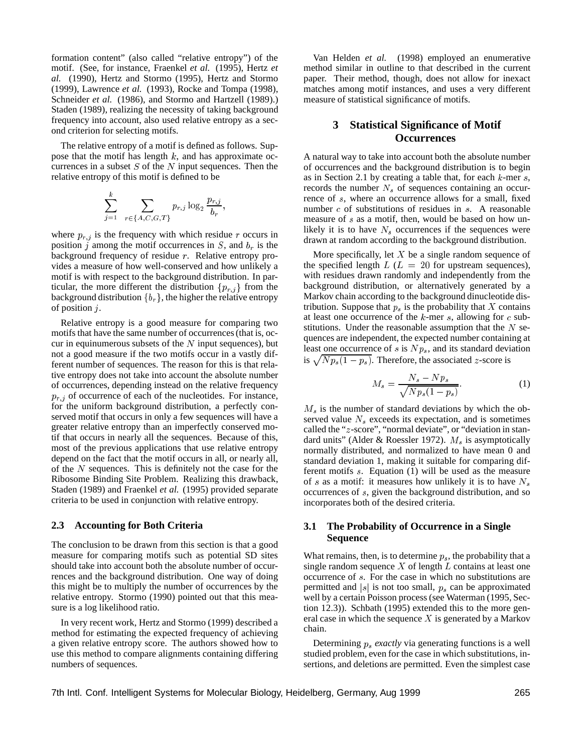formation content" (also called "relative entropy") of the motif. (See, for instance, Fraenkel *et al.* (1995), Hertz *et al.* (1990), Hertz and Stormo (1995), Hertz and Stormo (1999), Lawrence *et al.* (1993), Rocke and Tompa (1998), Schneider *et al.* (1986), and Stormo and Hartzell (1989).) Staden (1989), realizing the necessity of taking background frequency into account, also used relative entropy as a second criterion for selecting motifs.

The relative entropy of a motif is defined as follows. Suppose that the motif has length  $k$ , and has approximate occurrences in a subset  $S$  of the  $N$  input sequences. Then the relative entropy of this motif is defined to be

$$
\sum_{j=1}^{k} \sum_{r \in \{A, C, G, T\}} p_{r,j} \log_2 \frac{p_{r,j}}{b_r}
$$

;

where  $p_{r,j}$  is the frequency with which residue r occurs in position j among the motif occurrences in  $S$ , and  $b<sub>r</sub>$  is the background frequency of residue <sup>r</sup>. Relative entropy provides a measure of how well-conserved and how unlikely a motif is with respect to the background distribution. In particular, the more different the distribution  $\{p_{r,j}\}\$  from the background distribution  ${b_r}$ , the higher the relative entropy of position <sup>j</sup>.

Relative entropy is a good measure for comparing two motifs that have the same number of occurrences (that is, occur in equinumerous subsets of the  $N$  input sequences), but not a good measure if the two motifs occur in a vastly different number of sequences. The reason for this is that relative entropy does not take into account the absolute number of occurrences, depending instead on the relative frequency  $p_{r,i}$  of occurrence of each of the nucleotides. For instance, for the uniform background distribution, a perfectly conserved motif that occurs in only a few sequences will have a greater relative entropy than an imperfectly conserved motif that occurs in nearly all the sequences. Because of this, most of the previous applications that use relative entropy depend on the fact that the motif occurs in all, or nearly all, of the <sup>N</sup> sequences. This is definitely not the case for the Ribosome Binding Site Problem. Realizing this drawback, Staden (1989) and Fraenkel *et al.* (1995) provided separate criteria to be used in conjunction with relative entropy.

#### **2.3 Accounting for Both Criteria**

The conclusion to be drawn from this section is that a good measure for comparing motifs such as potential SD sites should take into account both the absolute number of occurrences and the background distribution. One way of doing this might be to multiply the number of occurrences by the relative entropy. Stormo (1990) pointed out that this measure is a log likelihood ratio.

In very recent work, Hertz and Stormo (1999) described a method for estimating the expected frequency of achieving a given relative entropy score. The authors showed how to use this method to compare alignments containing differing numbers of sequences.

Van Helden *et al.* (1998) employed an enumerative method similar in outline to that described in the current paper. Their method, though, does not allow for inexact matches among motif instances, and uses a very different measure of statistical significance of motifs.

# **3 Statistical Significance of Motif Occurrences**

A natural way to take into account both the absolute number of occurrences and the background distribution is to begin as in Section 2.1 by creating a table that, for each  $k$ -mer  $s$ , records the number  $N<sub>s</sub>$  of sequences containing an occurrence of <sup>s</sup>, where an occurrence allows for a small, fixed number  $c$  of substitutions of residues in  $s$ . A reasonable measure of s as a motif, then, would be based on how unlikely it is to have  $N_s$  occurrences if the sequences were drawn at random according to the background distribution.

More specifically, let  $X$  be a single random sequence of the specified length  $L (L = 20$  for upstream sequences), with residues drawn randomly and independently from the background distribution, or alternatively generated by a Markov chain according to the background dinucleotide distribution. Suppose that  $p_s$  is the probability that  $X$  contains at least one occurrence of the  $k$ -mer  $s$ , allowing for  $c$  substitutions. Under the reasonable assumption that the  $N$  sequences are independent, the expected number containing at least one occurrence of s is  $N p_s$ , and its standard deviation is  $\sqrt{N p_s(1-p_s)}$ . Therefore, the associated z-score is

$$
M_s = \frac{N_s - Np_s}{\sqrt{Np_s(1 - p_s)}}.\tag{1}
$$

 $M<sub>s</sub>$  is the number of standard deviations by which the observed value  $N_s$  exceeds its expectation, and is sometimes called the "z-score", "normal deviate", or "deviation in standard units" (Alder & Roessler 1972).  $M_s$  is asymptotically normally distributed, and normalized to have mean 0 and standard deviation 1, making it suitable for comparing different motifs <sup>s</sup>. Equation (1) will be used as the measure of s as a motif: it measures how unlikely it is to have  $N_s$ occurrences of <sup>s</sup>, given the background distribution, and so incorporates both of the desired criteria.

## **3.1 The Probability of Occurrence in a Single Sequence**

What remains, then, is to determine  $p_s$ , the probability that a single random sequence  $X$  of length  $L$  contains at least one occurrence of <sup>s</sup>. For the case in which no substitutions are permitted and  $|s|$  is not too small,  $p_s$  can be approximated well by a certain Poisson process (see Waterman (1995, Section 12.3)). Schbath (1995) extended this to the more general case in which the sequence  $X$  is generated by a Markov chain.

Determining  $p_s$  *exactly* via generating functions is a well studied problem, even for the case in which substitutions, insertions, and deletions are permitted. Even the simplest case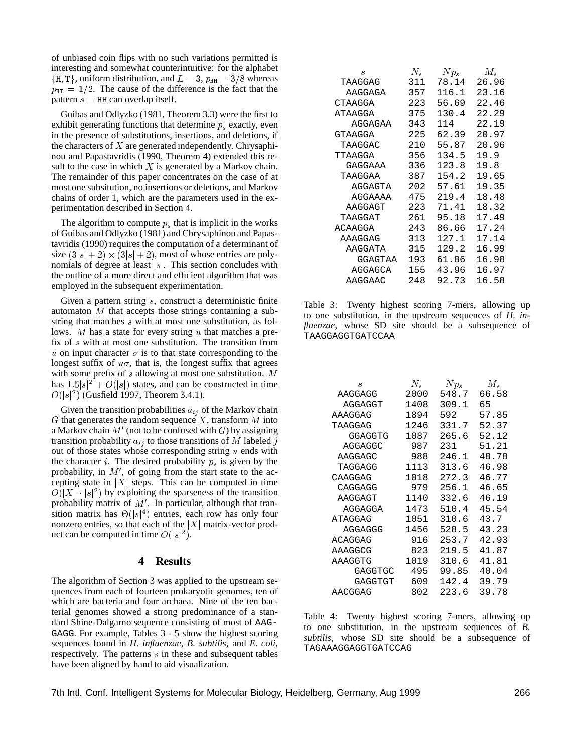of unbiased coin flips with no such variations permitted is interesting and somewhat counterintuitive: for the alphabet  $\{H, T\}$ , uniform distribution, and  $L = 3$ ,  $p_{HH} = 3/8$  whereas  $p_{\text{HT}} = 1/2$ . The cause of the difference is the fact that the pattern  $s = HH$  can overlap itself.

Guibas and Odlyzko (1981, Theorem 3.3) were the first to exhibit generating functions that determine  $p_s$  exactly, even in the presence of substitutions, insertions, and deletions, if the characters of  $X$  are generated independently. Chrysaphinou and Papastavridis (1990, Theorem 4) extended this result to the case in which  $X$  is generated by a Markov chain. The remainder of this paper concentrates on the case of at most one subsitution, no insertions or deletions, and Markov chains of order 1, which are the parameters used in the experimentation described in Section 4.

The algorithm to compute  $p_s$  that is implicit in the works of Guibas and Odlyzko (1981) and Chrysaphinou and Papastavridis (1990) requires the computation of a determinant of size  $(3|s| + 2) \times (3|s| + 2)$ , most of whose entries are polynomials of degree at least  $|s|$ . This section concludes with the outline of a more direct and efficient algorithm that was employed in the subsequent experimentation.

Given a pattern string <sup>s</sup>, construct a deterministic finite automaton  $M$  that accepts those strings containing a substring that matches <sup>s</sup> with at most one substitution, as follows. M has a state for every string u that matches a prefix of <sup>s</sup> with at most one substitution. The transition from u on input character  $\sigma$  is to that state corresponding to the longest suffix of  $u\sigma$ , that is, the longest suffix that agrees with some prefix of s allowing at most one substitution. M has  $1.5|s|^2 + O(|s|)$  states, and can be constructed in time  $O(|s|^2)$  (Gusfield 1997, Theorem 3.4.1).

Given the transition probabilities  $a_{ij}$  of the Markov chain  $G$  that generates the random sequence  $X$ , transform  $M$  into a Markov chain  $M'$  (not to be confused with  $G$ ) by assigning transition probability  $a_{ij}$  to those transitions of M labeled j out of those states whose corresponding string <sup>u</sup> ends with the character *i*. The desired probability  $p_s$  is given by the probability, in  $M'$ , of going from the start state to the accepting state in  $|X|$  steps. This can be computed in time  $O(|X| \cdot |s|^2)$  by exploiting the sparseness of the transition probability matrix of  $M'$ . In particular, although that transition matrix has  $\Theta(|s|^4)$  entries, each row has only four nonzero entries, so that each of the  $|X|$  matrix-vector product can be computed in time  $O(|s|^2)$ .

#### **4 Results**

The algorithm of Section 3 was applied to the upstream sequences from each of fourteen prokaryotic genomes, ten of which are bacteria and four archaea. Nine of the ten bacterial genomes showed a strong predominance of a standard Shine-Dalgarno sequence consisting of most of AAG-GAGG. For example, Tables 3 - 5 show the highest scoring sequences found in *H. influenzae*, *B. subtilis*, and *E. coli*, respectively. The patterns <sup>s</sup> in these and subsequent tables have been aligned by hand to aid visualization.

| S       | $N_{\rm c}$ | $N p_s$ | $M_{s}$ |
|---------|-------------|---------|---------|
| TAAGGAG | 311         | 78.14   | 26.96   |
| AAGGAGA | 357         | 116.1   | 23.16   |
| CTAAGGA | 223         | 56.69   | 22.46   |
| ATAAGGA | 375         | 130.4   | 22.29   |
| AGGAGAA | 343         | 114     | 22.19   |
| GTAAGGA | 225         | 62.39   | 20.97   |
| TAAGGAC | 210         | 55.87   | 20.96   |
| TTAAGGA | 356         | 134.5   | 19.9    |
| GAGGAAA | 336         | 123.8   | 19.8    |
| TAAGGAA | 387         | 154.2   | 19.65   |
| AGGAGTA | 202         | 57.61   | 19.35   |
| AGGAAAA | 475         | 219.4   | 18.48   |
| AAGGAGT | 223         | 71.41   | 18.32   |
| TAAGGAT | 261         | 95.18   | 17.49   |
| ACAAGGA | 243         | 86.66   | 17.24   |
| AAAGGAG | 313         | 127.1   | 17.14   |
| AAGGATA | 315         | 129.2   | 16.99   |
| GGAGTAA | 193         | 61.86   | 16.98   |
| AGGAGCA | 155         | 43.96   | 16.97   |
| AAGGAAC | 248         | 92.73   | 16.58   |

Table 3: Twenty highest scoring 7-mers, allowing up to one substitution, in the upstream sequences of *H. influenzae*, whose SD site should be a subsequence of TAAGGAGGTGATCCAA

| S       | $N_{\rm c}$ | $N p_s$ | $M_{s}$ |
|---------|-------------|---------|---------|
| AAGGAGG | 2000        | 548.7   | 66.58   |
| AGGAGGT | 1408        | 309.1   | 65      |
| AAAGGAG | 1894        | 592     | 57.85   |
| TAAGGAG | 1246        | 331.7   | 52.37   |
| GGAGGTG | 1087        | 265.6   | 52.12   |
| AGGAGGC | 987         | 231     | 51.21   |
| AAGGAGC | 988         | 246.1   | 48.78   |
| TAGGAGG | 1113        | 313.6   | 46.98   |
| CAAGGAG | 1018        | 272.3   | 46.77   |
| CAGGAGG | 979         | 256.1   | 46.65   |
| AAGGAGT | 1140        | 332.6   | 46.19   |
| AGGAGGA | 1473        | 510.4   | 45.54   |
| ATAGGAG | 1051        | 310.6   | 43.7    |
| AGGAGGG | 1456        | 528.5   | 43.23   |
| ACAGGAG | 916         | 253.7   | 42.93   |
| AAAGGCG | 823         | 219.5   | 41.87   |
| AAAGGTG | 1019        | 310.6   | 41.81   |
| GAGGTGC | 495         | 99.85   | 40.04   |
| GAGGTGT | 609         | 142.4   | 39.79   |
| AACGGAG | 802         | 223.6   | 39.78   |

Table 4: Twenty highest scoring 7-mers, allowing up to one substitution, in the upstream sequences of *B. subtilis*, whose SD site should be a subsequence of TAGAAAGGAGGTGATCCAG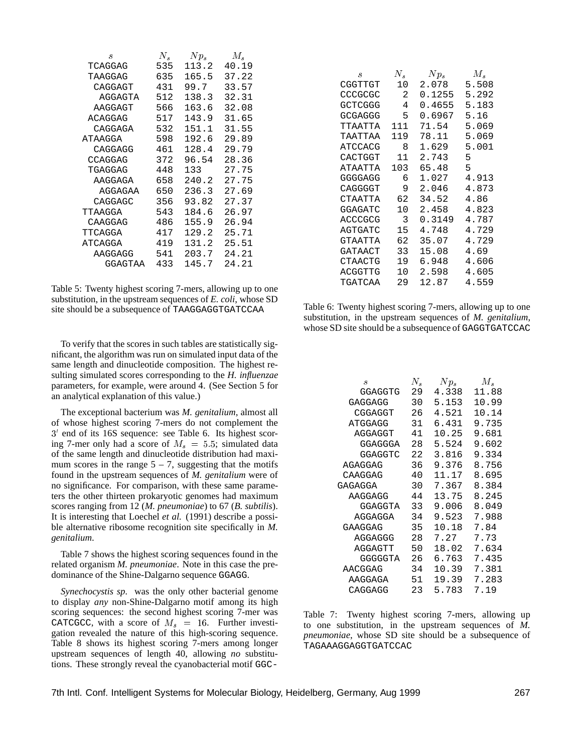| S       | $N_{s}$ | $N p_s$ | $M_{s}$ |
|---------|---------|---------|---------|
| TCAGGAG | 535     | 113.2   | 40.19   |
| TAAGGAG | 635     | 165.5   | 37.22   |
| CAGGAGT | 431     | 99.7    | 33.57   |
| AGGAGTA | 512     | 138.3   | 32.31   |
| AAGGAGT | 566     | 163.6   | 32.08   |
| ACAGGAG | 517     | 143.9   | 31.65   |
| CAGGAGA | 532     | 151.1   | 31.55   |
| ATAAGGA | 598     | 192.6   | 29.89   |
| CAGGAGG | 461     | 128.4   | 29.79   |
| CCAGGAG | 372     | 96.54   | 28.36   |
| TGAGGAG | 448     | 133     | 27.75   |
| AAGGAGA | 658     | 240.2   | 27.75   |
| AGGAGAA | 650     | 236.3   | 27.69   |
| CAGGAGC | 356     | 93.82   | 27.37   |
| TTAAGGA | 543     | 184.6   | 26.97   |
| CAAGGAG | 486     | 155.9   | 26.94   |
| TTCAGGA | 417     | 129.2   | 25.71   |
| ATCAGGA | 419     | 131.2   | 25.51   |
| AAGGAGG | 541     | 203.7   | 24.21   |
| GGAGTAA | 433     | 145.7   | 24.21   |

Table 5: Twenty highest scoring 7-mers, allowing up to one substitution, in the upstream sequences of *E. coli*, whose SD site should be a subsequence of TAAGGAGGTGATCCAA

To verify that the scores in such tables are statistically significant, the algorithm was run on simulated input data of the same length and dinucleotide composition. The highest resulting simulated scores corresponding to the *H. influenzae* parameters, for example, were around 4. (See Section 5 for an analytical explanation of this value.)

The exceptional bacterium was *M. genitalium*, almost all of whose highest scoring 7-mers do not complement the 3' end of its 16S sequence: see Table 6. Its highest scoring 7-mer only had a score of  $M_s = 5.5$ ; simulated data of the same length and dinucleotide distribution had maximum scores in the range  $5 - 7$ , suggesting that the motifs found in the upstream sequences of *M. genitalium* were of no significance. For comparison, with these same parameters the other thirteen prokaryotic genomes had maximum scores ranging from 12 (*M. pneumoniae*) to 67 (*B. subtilis*). It is interesting that Loechel *et al.* (1991) describe a possible alternative ribosome recognition site specifically in *M. genitalium*.

Table 7 shows the highest scoring sequences found in the related organism *M. pneumoniae*. Note in this case the predominance of the Shine-Dalgarno sequence GGAGG.

*Synechocystis sp.* was the only other bacterial genome to display *any* non-Shine-Dalgarno motif among its high scoring sequences: the second highest scoring 7-mer was CATCGCC, with a score of  $M_s = 16$ . Further investigation revealed the nature of this high-scoring sequence. Table 8 shows its highest scoring 7-mers among longer upstream sequences of length 40, allowing *no* substitutions. These strongly reveal the cyanobacterial motif GGC-

| S.      | N.  | $N p_s$ | $M_{\rm \bullet}$ |
|---------|-----|---------|-------------------|
| CGGTTGT |     | 2.078   | 5.508             |
| CCCGCGC | 2   | 0.1255  | 5.292             |
| GCTCGGG | 4   | 0.4655  | 5.183             |
| GCGAGGG | 5   | 0.6967  | 5.16              |
| ͲͲΆΑͲͲΆ | 111 | 71.54   | 5.069             |
| ͲΆΆΤͲΆΑ | 119 | 78.11   | 5.069             |
| ATCCACG | 8   | 1.629   | 5.001             |
| CACTGGT | 11  | 2.743   | 5                 |
| ATAATTA | 103 | 65.48   | 5                 |
| GGGGAGG | 6   | 1.027   | 4.913             |
| CAGGGGT | 9   | 2.046   | 4.873             |
| CTAATTA | 62  | 34.52   | 4.86              |
| GGAGATC | 10  | 2.458   | 4.823             |
| ACCCGCG | 3   | 0.3149  | 4.787             |
| AGTGATC | 15  | 4.748   | 4.729             |
| GTAATTA | 62  | 35.07   | 4.729             |
| GATAACT | 33  | 15.08   | 4.69              |
| CTAACTG | 19  | 6.948   | 4.606             |
| ACGGTTG |     | 2.598   | 4.605             |
| TGATCAA | 29  | 12.87   | 4.559             |

Table 6: Twenty highest scoring 7-mers, allowing up to one substitution, in the upstream sequences of *M. genitalium*, whose SD site should be a subsequence of GAGGTGATCCAC

| ,S      | N. | $N p_s$ | $M_{s}$ |
|---------|----|---------|---------|
| GGAGGTG | 29 | 4.338   | 11.88   |
| GAGGAGG | 30 | 5.153   | 10.99   |
| CGGAGGT | 26 | 4.521   | 10.14   |
| ATGGAGG | 31 | 6.431   | 9.735   |
| AGGAGGT | 41 | 10.25   | 9.681   |
| GGAGGGA | 28 | 5.524   | 9.602   |
| GGAGGTC | 22 | 3.816   | 9.334   |
| AGAGGAG | 36 | 9.376   | 8.756   |
| CAAGGAG | 40 | 11.17   | 8.695   |
| GAGAGGA | 30 | 7.367   | 8.384   |
| AAGGAGG | 44 | 13.75   | 8.245   |
| GGAGGTA | 33 | 9.006   | 8.049   |
| AGGAGGA | 34 | 9.523   | 7.988   |
| GAAGGAG | 35 | 10.18   | 7.84    |
| AGGAGGG | 28 | 7.27    | 7.73    |
| AGGAGTT | 50 | 18.02   | 7.634   |
| GGGGGTA | 26 | 6.763   | 7.435   |
| AACGGAG | 34 | 10.39   | 7.381   |
| AAGGAGA | 51 | 19.39   | 7.283   |
| CAGGAGG | 23 | 5.783   | 7.19    |

Table 7: Twenty highest scoring 7-mers, allowing up to one substitution, in the upstream sequences of *M. pneumoniae*, whose SD site should be a subsequence of TAGAAAGGAGGTGATCCAC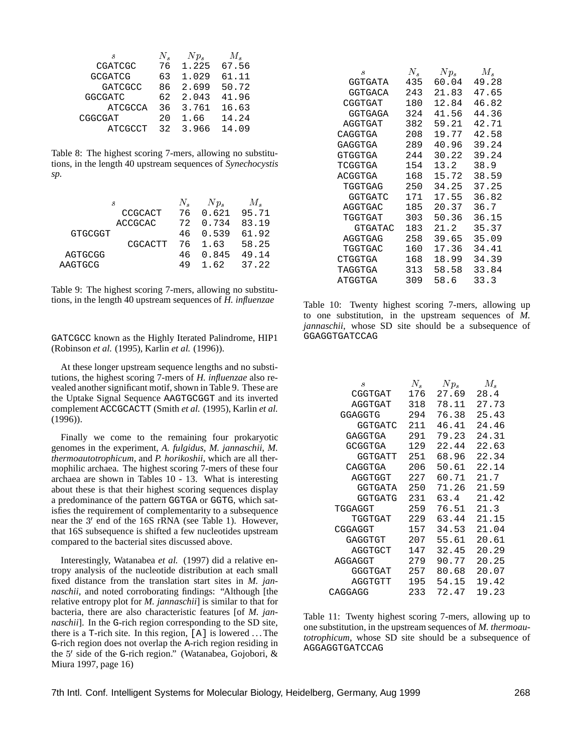| S              | $N_{\bullet}$ | $N p_s$ | $M_{\rm \bullet}$ |
|----------------|---------------|---------|-------------------|
| CGATCGC        | 76            | 1.225   | 67.56             |
| <b>GCGATCG</b> | 63            | 1.029   | 61.11             |
| <b>GATCGCC</b> | 86            | 2.699   | 50.72             |
| <b>GGCGATC</b> | 62            | 2.043   | 41.96             |
| <b>ATCGCCA</b> | 36            | 3.761   | 16.63             |
| CGGCGAT        | 20            | 1.66    | 14.24             |
| <b>ATCGCCT</b> | 32            | 3.966   | 14.09             |

Table 8: The highest scoring 7-mers, allowing no substitutions, in the length 40 upstream sequences of *Synechocystis sp.*

|                | .S             | $N_{\rm e}$ | $Np_{s}$ | М.            |
|----------------|----------------|-------------|----------|---------------|
|                | CCGCACT        | 76          |          | $0.621$ 95.71 |
|                | <b>ACCGCAC</b> |             | 72 0.734 | 83.19         |
| <b>GTGCGGT</b> |                |             | 46 0.539 | 61.92         |
|                | CGCACTT        |             | 76 1.63  | 58.25         |
| AGTGCGG        |                |             | 46 0.845 | 49.14         |
| AAGTGCG        |                | 49          | 162      | 37.22         |
|                |                |             |          |               |

Table 9: The highest scoring 7-mers, allowing no substitutions, in the length 40 upstream sequences of *H. influenzae*

#### GATCGCC known as the Highly Iterated Palindrome, HIP1 (Robinson *et al.* (1995), Karlin *et al.* (1996)).

At these longer upstream sequence lengths and no substitutions, the highest scoring 7-mers of *H. influenzae* also revealed another significant motif, shown in Table 9. These are the Uptake Signal Sequence AAGTGCGGT and its inverted complement ACCGCACTT (Smith *et al.* (1995), Karlin *et al.* (1996)).

Finally we come to the remaining four prokaryotic genomes in the experiment, *A. fulgidus*, *M. jannaschii*, *M. thermoautotrophicum*, and *P. horikoshii*, which are all thermophilic archaea. The highest scoring 7-mers of these four archaea are shown in Tables 10 - 13. What is interesting about these is that their highest scoring sequences display a predominance of the pattern GGTGA or GGTG, which satisfies the requirement of complementarity to a subsequence near the 3' end of the 16S rRNA (see Table 1). However, that 16S subsequence is shifted a few nucleotides upstream compared to the bacterial sites discussed above.

Interestingly, Watanabea *et al.* (1997) did a relative entropy analysis of the nucleotide distribution at each small fixed distance from the translation start sites in *M. jannaschii*, and noted corroborating findings: "Although [the relative entropy plot for *M. jannaschii*] is similar to that for bacteria, there are also characteristic features [of *M. jannaschii*]. In the G-rich region corresponding to the SD site, there is a  $T$ -rich site. In this region,  $[A]$  is lowered ... The G-rich region does not overlap the A-rich region residing in the 5' side of the G-rich region." (Watanabea, Gojobori, & Miura 1997, page 16)

| ,S      | $N_{s}$ | $N p_s$ | $M_{s}$ |
|---------|---------|---------|---------|
| GGTGATA | 435     | 60.04   | 49.28   |
| GGTGACA | 243     | 21.83   | 47.65   |
| CGGTGAT | 180     | 12.84   | 46.82   |
| GGTGAGA | 324     | 41.56   | 44.36   |
| AGGTGAT | 382     | 59.21   | 42.71   |
| CAGGTGA | 208     | 19.77   | 42.58   |
| GAGGTGA | 289     | 40.96   | 39.24   |
| GTGGTGA | 244     | 30.22   | 39.24   |
| TCGGTGA | 154     | 13.2    | 38.9    |
| ACGGTGA | 168     | 15.72   | 38.59   |
| TGGTGAG | 250     | 34.25   | 37.25   |
| GGTGATC | 171     | 17.55   | 36.82   |
| AGGTGAC | 185     | 20.37   | 36.7    |
| TGGTGAT | 303     | 50.36   | 36.15   |
| GTGATAC | 183     | 21.2    | 35.37   |
| AGGTGAG | 258     | 39.65   | 35.09   |
| TGGTGAC | 160     | 17.36   | 34.41   |
| CTGGTGA | 168     | 18.99   | 34.39   |
| TAGGTGA | 313     | 58.58   | 33.84   |
| ATGGTGA | 309     | 58.6    | 33.3    |

Table 10: Twenty highest scoring 7-mers, allowing up to one substitution, in the upstream sequences of *M. jannaschii*, whose SD site should be a subsequence of GGAGGTGATCCAG

| ,S      | $N_{s}$ | $N p_s$ | $M_{s}$ |
|---------|---------|---------|---------|
| CGGTGAT | 176     | 27.69   | 28.4    |
| AGGTGAT | 318     | 78.11   | 27.73   |
| GGAGGTG | 294     | 76.38   | 25.43   |
| GGTGATC | 211     | 46.41   | 24.46   |
| GAGGTGA | 291     | 79.23   | 24.31   |
| GCGGTGA | 129     | 22.44   | 22.63   |
| GGTGATT | 251     | 68.96   | 22.34   |
| CAGGTGA | 206     | 50.61   | 22.14   |
| AGGTGGT | 227     | 60.71   | 21.7    |
| GGTGATA | 250     | 71.26   | 21.59   |
| GGTGATG | 231     | 63.4    | 21.42   |
| TGGAGGT | 259     | 76.51   | 21.3    |
| TGGTGAT | 229     | 63.44   | 21.15   |
| CGGAGGT | 157     | 34.53   | 21.04   |
| GAGGTGT | 207     | 55.61   | 20.61   |
| AGGTGCT | 147     | 32.45   | 20.29   |
| AGGAGGT | 279     | 90.77   | 20.25   |
| GGGTGAT | 257     | 80.68   | 20.07   |
| AGGTGTT | 195     | 54.15   | 19.42   |
| CAGGAGG | 233     | 72.47   | 19.23   |

Table 11: Twenty highest scoring 7-mers, allowing up to one substitution, in the upstream sequences of *M. thermoautotrophicum*, whose SD site should be a subsequence of AGGAGGTGATCCAG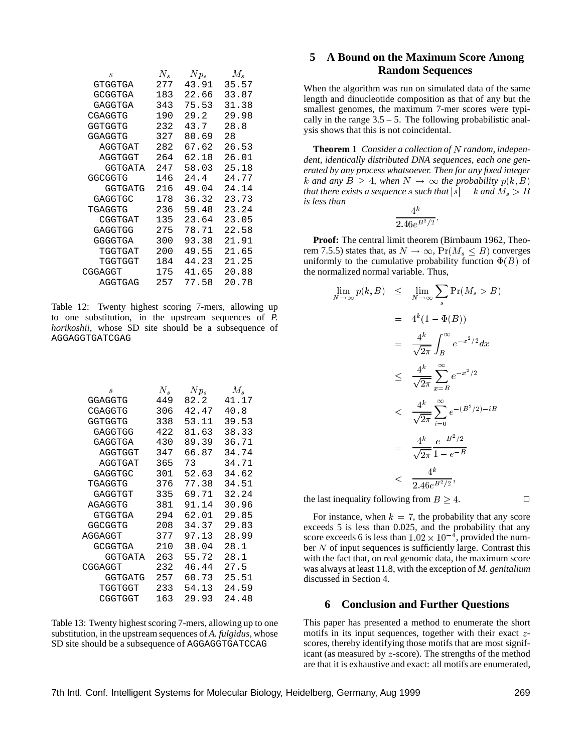| ,S      | $N_{\rm c}$ | $N p_s$ | M.    |
|---------|-------------|---------|-------|
| GTGGTGA | 277         | 43.91   | 35.57 |
| GCGGTGA | 183         | 22.66   | 33.87 |
| GAGGTGA | 343         | 75.53   | 31.38 |
| CGAGGTG | 190         | 29.2    | 29.98 |
| GGTGGTG | 232         | 43.7    | 28.8  |
| GGAGGTG | 327         | 80.69   | 28    |
| AGGTGAT | 282         | 67.62   | 26.53 |
| AGGTGGT | 264         | 62.18   | 26.01 |
| GGTGATA | 247         | 58.03   | 25.18 |
| GGCGGTG | 146         | 24.4    | 24.77 |
| GGTGATG | 216         | 49.04   | 24.14 |
| GAGGTGC | 178         | 36.32   | 23.73 |
| TGAGGTG | 236         | 59.48   | 23.24 |
| CGGTGAT | 135         | 23.64   | 23.05 |
| GAGGTGG | 275         | 78.71   | 22.58 |
| GGGGTGA | 300         | 93.38   | 21.91 |
| TGGTGAT | 200         | 49.55   | 21.65 |
| TGGTGGT | 184         | 44.23   | 21.25 |
| CGGAGGT | 175         | 41.65   | 20.88 |
| AGGTGAG | 257         | 77.58   | 20.78 |

Table 12: Twenty highest scoring 7-mers, allowing up to one substitution, in the upstream sequences of *P. horikoshii*, whose SD site should be a subsequence of AGGAGGTGATCGAG

| $N_{s}$ | $N p_s$ | $M_{s}$ |
|---------|---------|---------|
| 449     | 82.2    | 41.17   |
| 306     | 42.47   | 40.8    |
| 338     | 53.11   | 39.53   |
| 422     | 81.63   | 38.33   |
| 430     | 89.39   | 36.71   |
| 347     | 66.87   | 34.74   |
| 365     | 73      | 34.71   |
| 301     | 52.63   | 34.62   |
| 376     | 77.38   | 34.51   |
| 335     | 69.71   | 32.24   |
| 381     | 91.14   | 30.96   |
| 294     | 62.01   | 29.85   |
| 208     | 34.37   | 29.83   |
| 377     | 97.13   | 28.99   |
| 210     | 38.04   | 28.1    |
| 263     | 55.72   | 28.1    |
| 232     | 46.44   | 27.5    |
| 257     | 60.73   | 25.51   |
| 233     | 54.13   | 24.59   |
| 163     | 29.93   | 24.48   |
|         |         |         |

Table 13: Twenty highest scoring 7-mers, allowing up to one substitution, in the upstream sequences of *A. fulgidus*, whose SD site should be a subsequence of AGGAGGTGATCCAG

# **5 A Bound on the Maximum Score Among Random Sequences**

When the algorithm was run on simulated data of the same length and dinucleotide composition as that of any but the smallest genomes, the maximum 7-mer scores were typically in the range  $3.5 - 5$ . The following probabilistic analysis shows that this is not coincidental.

**Theorem 1** *Consider a collection of* <sup>N</sup> *random, independent, identically distributed DNA sequences, each one generated by any process whatsoever. Then for any fixed integer* k and any  $B \geq 4$ , when  $N \to \infty$  the probability  $p(k, B)$ *that there exists a sequence s such that*  $|s| = k$  *and*  $M_s > B$ *is less than*  $\overline{h}$ 

$$
\frac{4^{k}}{2.46e^{B^2/2}}.
$$

**Proof:** The central limit theorem (Birnbaum 1962, Theorem 7.5.5) states that, as  $N \to \infty$ ,  $Pr(M_s \leq B)$  converges uniformly to the cumulative probability function  $\Phi(B)$  of the normalized normal variable. Thus,

$$
\lim_{N \to \infty} p(k, B) \leq \lim_{N \to \infty} \sum_{s} \Pr(M_s > B)
$$
  
\n
$$
= 4^k (1 - \Phi(B))
$$
  
\n
$$
= \frac{4^k}{\sqrt{2\pi}} \int_B^{\infty} e^{-x^2/2} dx
$$
  
\n
$$
\leq \frac{4^k}{\sqrt{2\pi}} \sum_{x=B}^{\infty} e^{-x^2/2}
$$
  
\n
$$
< \frac{4^k}{\sqrt{2\pi}} \sum_{i=0}^{\infty} e^{-(B^2/2) - iB}
$$
  
\n
$$
= \frac{4^k}{\sqrt{2\pi}} \frac{e^{-B^2/2}}{1 - e^{-B}}
$$
  
\n
$$
< \frac{4^k}{2.46 e^{B^2/2}},
$$

the last inequality following from  $B \geq 4$ .

For instance, when  $k = 7$ , the probability that any score exceeds 5 is less than 0.025, and the probability that any score exceeds 6 is less than  $1.02 \times 10^{-4}$ , provided the number  $N$  of input sequences is sufficiently large. Contrast this

with the fact that, on real genomic data, the maximum score was always at least 11.8, with the exception of *M. genitalium* discussed in Section 4.

# **6 Conclusion and Further Questions**

This paper has presented a method to enumerate the short motifs in its input sequences, together with their exact <sup>z</sup>scores, thereby identifying those motifs that are most significant (as measured by <sup>z</sup>-score). The strengths of the method are that it is exhaustive and exact: all motifs are enumerated,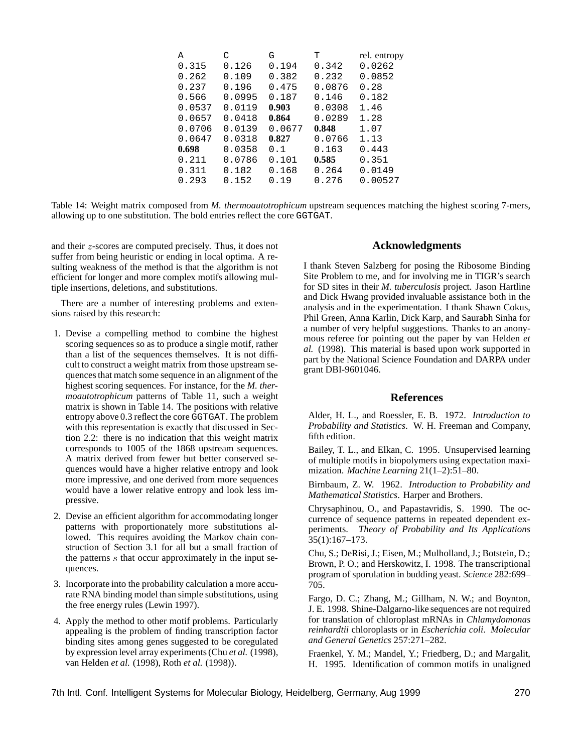| А      | C      | G      | т      | rel. entropy |
|--------|--------|--------|--------|--------------|
| 0.315  | 0.126  | 0.194  | 0.342  | 0.0262       |
| 0.262  | 0.109  | 0.382  | 0.232  | 0.0852       |
| 0.237  | 0.196  | 0.475  | 0.0876 | 0.28         |
| 0.566  | 0.0995 | 0.187  | 0.146  | 0.182        |
| 0.0537 | 0.0119 | 0.903  | 0.0308 | 1.46         |
| 0.0657 | 0.0418 | 0.864  | 0.0289 | 1.28         |
| 0.0706 | 0.0139 | 0.0677 | 0.848  | 1.07         |
| 0.0647 | 0.0318 | 0.827  | 0.0766 | 1.13         |
| 0.698  | 0.0358 | 0.1    | 0.163  | 0.443        |
| 0.211  | 0.0786 | 0.101  | 0.585  | 0.351        |
| 0.311  | 0.182  | 0.168  | 0.264  | 0.0149       |
| 0.293  | 0.152  | 0.19   | 0.276  | 0.00527      |
|        |        |        |        |              |

Table 14: Weight matrix composed from *M. thermoautotrophicum* upstream sequences matching the highest scoring 7-mers, allowing up to one substitution. The bold entries reflect the core GGTGAT.

and their <sup>z</sup>-scores are computed precisely. Thus, it does not suffer from being heuristic or ending in local optima. A resulting weakness of the method is that the algorithm is not efficient for longer and more complex motifs allowing multiple insertions, deletions, and substitutions.

There are a number of interesting problems and extensions raised by this research:

- 1. Devise a compelling method to combine the highest scoring sequences so as to produce a single motif, rather than a list of the sequences themselves. It is not difficult to construct a weight matrix from those upstream sequences that match some sequence in an alignment of the highest scoring sequences. For instance, for the *M. thermoautotrophicum* patterns of Table 11, such a weight matrix is shown in Table 14. The positions with relative entropy above 0.3 reflect the core GGTGAT. The problem with this representation is exactly that discussed in Section 2.2: there is no indication that this weight matrix corresponds to 1005 of the 1868 upstream sequences. A matrix derived from fewer but better conserved sequences would have a higher relative entropy and look more impressive, and one derived from more sequences would have a lower relative entropy and look less impressive.
- 2. Devise an efficient algorithm for accommodating longer patterns with proportionately more substitutions allowed. This requires avoiding the Markov chain construction of Section 3.1 for all but a small fraction of the patterns <sup>s</sup> that occur approximately in the input sequences.
- 3. Incorporate into the probability calculation a more accurate RNA binding model than simple substitutions, using the free energy rules (Lewin 1997).
- 4. Apply the method to other motif problems. Particularly appealing is the problem of finding transcription factor binding sites among genes suggested to be coregulated by expression level array experiments (Chu *et al.* (1998), van Helden *et al.* (1998), Roth *et al.* (1998)).

## **Acknowledgments**

I thank Steven Salzberg for posing the Ribosome Binding Site Problem to me, and for involving me in TIGR's search for SD sites in their *M. tuberculosis* project. Jason Hartline and Dick Hwang provided invaluable assistance both in the analysis and in the experimentation. I thank Shawn Cokus, Phil Green, Anna Karlin, Dick Karp, and Saurabh Sinha for a number of very helpful suggestions. Thanks to an anonymous referee for pointing out the paper by van Helden *et al.* (1998). This material is based upon work supported in part by the National Science Foundation and DARPA under grant DBI-9601046.

#### **References**

Alder, H. L., and Roessler, E. B. 1972. *Introduction to Probability and Statistics*. W. H. Freeman and Company, fifth edition.

Bailey, T. L., and Elkan, C. 1995. Unsupervised learning of multiple motifs in biopolymers using expectation maximization. *Machine Learning* 21(1–2):51–80.

Birnbaum, Z. W. 1962. *Introduction to Probability and Mathematical Statistics*. Harper and Brothers.

Chrysaphinou, O., and Papastavridis, S. 1990. The occurrence of sequence patterns in repeated dependent experiments. *Theory of Probability and Its Applications* 35(1):167–173.

Chu, S.; DeRisi, J.; Eisen, M.; Mulholland, J.; Botstein, D.; Brown, P. O.; and Herskowitz, I. 1998. The transcriptional program of sporulation in budding yeast. *Science* 282:699– 705.

Fargo, D. C.; Zhang, M.; Gillham, N. W.; and Boynton, J. E. 1998. Shine-Dalgarno-like sequences are not required for translation of chloroplast mRNAs in *Chlamydomonas reinhardtii* chloroplasts or in *Escherichia coli*. *Molecular and General Genetics* 257:271–282.

Fraenkel, Y. M.; Mandel, Y.; Friedberg, D.; and Margalit, H. 1995. Identification of common motifs in unaligned